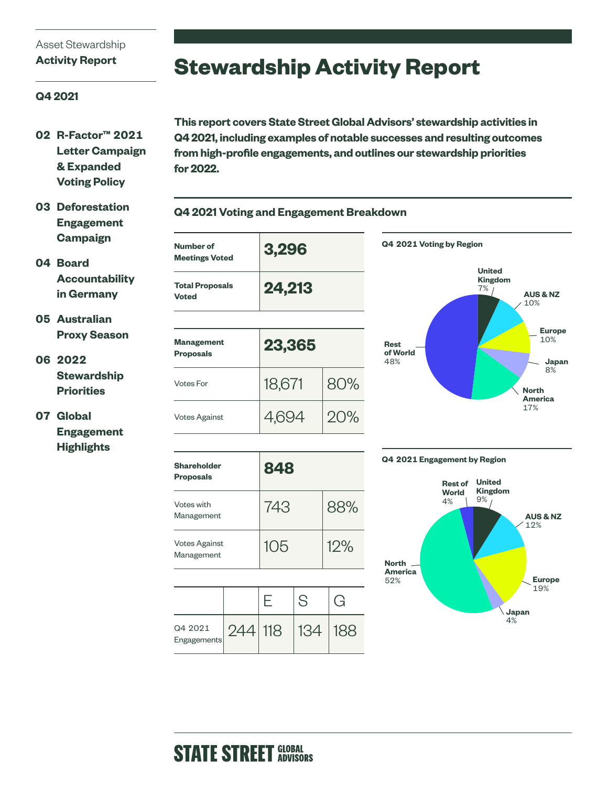### Asset Stewardship **Activity Report**

## **Stewardship Activity Report**

### **Q4 2021**

- **02 R-Factor™ 2021 Letter Campaign & Expanded Voting Policy**
- **03 Deforestation Engagement Campaign**

**04 Board Accountability in Germany**

- **05 Australian Proxy Season**
- **06 2022 Stewardship Priorities**

### **07 Global Engagement Highlights**

**This report covers State Street Global Advisors' stewardship activities in Q4 2021, including examples of notable successes and resulting outcomes from high-profile engagements, and outlines our stewardship priorities for 2022.** 



| <b>Shareholder</b><br><b>Proposals</b> | 848 |     |
|----------------------------------------|-----|-----|
| Votes with<br>Management               | 743 | 88% |
| <b>Votes Against</b><br>Management     | 105 | 12% |

Votes Against  $4,694$  20%

| Q4 2021<br>Engagements | 244 118 | 134 |  |
|------------------------|---------|-----|--|





**Europe**  10%

> **Japan** 8%

17%

## **Q4 2021 Voting and Engagement Breakdown**

## **STATE STREET GLOBAL**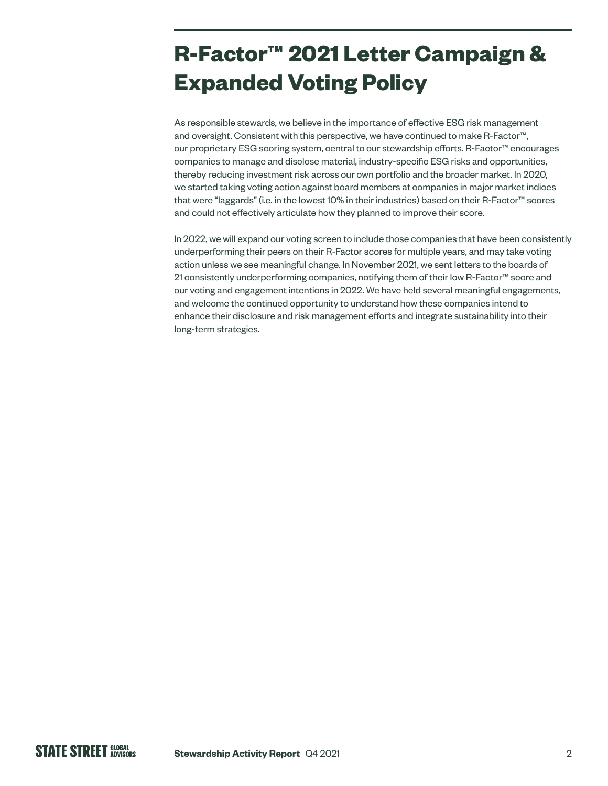# **R-Factor™ 2021 Letter Campaign & Expanded Voting Policy**

As responsible stewards, we believe in the importance of effective ESG risk management and oversight. Consistent with this perspective, we have continued to make R-Factor™, our proprietary ESG scoring system, central to our stewardship efforts. R-Factor™ encourages companies to manage and disclose material, industry-specific ESG risks and opportunities, thereby reducing investment risk across our own portfolio and the broader market. In 2020, we started taking voting action against board members at companies in major market indices that were "laggards" (i.e. in the lowest 10% in their industries) based on their R-Factor™ scores and could not effectively articulate how they planned to improve their score.

In 2022, we will expand our voting screen to include those companies that have been consistently underperforming their peers on their R-Factor scores for multiple years, and may take voting action unless we see meaningful change. In November 2021, we sent letters to the boards of 21 consistently underperforming companies, notifying them of their low R-Factor™ score and our voting and engagement intentions in 2022. We have held several meaningful engagements, and welcome the continued opportunity to understand how these companies intend to enhance their disclosure and risk management efforts and integrate sustainability into their long-term strategies.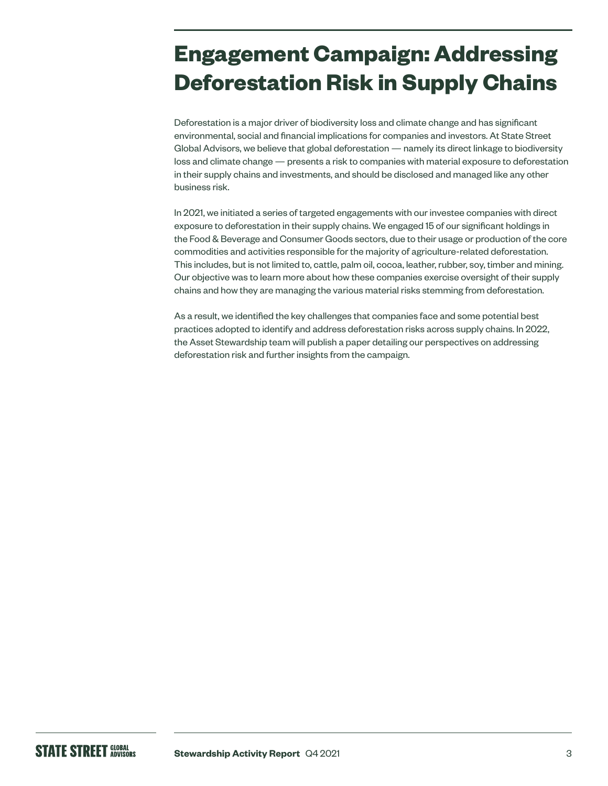# **Engagement Campaign: Addressing Deforestation Risk in Supply Chains**

Deforestation is a major driver of biodiversity loss and climate change and has significant environmental, social and financial implications for companies and investors. At State Street Global Advisors, we believe that global deforestation — namely its direct linkage to biodiversity loss and climate change — presents a risk to companies with material exposure to deforestation in their supply chains and investments, and should be disclosed and managed like any other business risk.

In 2021, we initiated a series of targeted engagements with our investee companies with direct exposure to deforestation in their supply chains. We engaged 15 of our significant holdings in the Food & Beverage and Consumer Goods sectors, due to their usage or production of the core commodities and activities responsible for the majority of agriculture-related deforestation. This includes, but is not limited to, cattle, palm oil, cocoa, leather, rubber, soy, timber and mining. Our objective was to learn more about how these companies exercise oversight of their supply chains and how they are managing the various material risks stemming from deforestation.

As a result, we identified the key challenges that companies face and some potential best practices adopted to identify and address deforestation risks across supply chains. In 2022, the Asset Stewardship team will publish a paper detailing our perspectives on addressing deforestation risk and further insights from the campaign.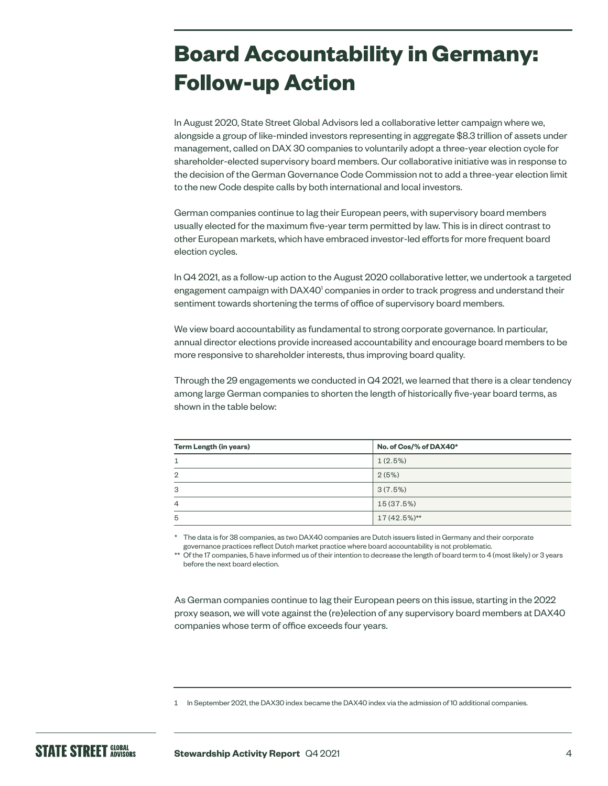# **Board Accountability in Germany: Follow-up Action**

In August 2020, State Street Global Advisors led a collaborative letter campaign where we, alongside a group of like-minded investors representing in aggregate \$8.3 trillion of assets under management, called on DAX 30 companies to voluntarily adopt a three-year election cycle for shareholder-elected supervisory board members. Our collaborative initiative was in response to the decision of the German Governance Code Commission not to add a three-year election limit to the new Code despite calls by both international and local investors.

German companies continue to lag their European peers, with supervisory board members usually elected for the maximum five-year term permitted by law. This is in direct contrast to other European markets, which have embraced investor-led efforts for more frequent board election cycles.

In Q4 2021, as a follow-up action to the August 2020 collaborative letter, we undertook a targeted engagement campaign with DAX40<sup>1</sup> companies in order to track progress and understand their sentiment towards shortening the terms of office of supervisory board members.

We view board accountability as fundamental to strong corporate governance. In particular, annual director elections provide increased accountability and encourage board members to be more responsive to shareholder interests, thus improving board quality.

Through the 29 engagements we conducted in Q4 2021, we learned that there is a clear tendency among large German companies to shorten the length of historically five-year board terms, as shown in the table below:

| Term Length (in years) | No. of Cos/% of DAX40* |  |  |
|------------------------|------------------------|--|--|
|                        | 1(2.5%)                |  |  |
| $\overline{2}$         | 2(5%)                  |  |  |
| 3                      | 3(7.5%)                |  |  |
| $\overline{4}$         | 15 (37.5%)             |  |  |
| 5                      | $17(42.5\%)**$         |  |  |

\* The data is for 38 companies, as two DAX40 companies are Dutch issuers listed in Germany and their corporate governance practices reflect Dutch market practice where board accountability is not problematic.

Of the 17 companies, 5 have informed us of their intention to decrease the length of board term to 4 (most likely) or 3 years before the next board election.

As German companies continue to lag their European peers on this issue, starting in the 2022 proxy season, we will vote against the (re)election of any supervisory board members at DAX40 companies whose term of office exceeds four years.

<sup>1</sup> In September 2021, the DAX30 index became the DAX40 index via the admission of 10 additional companies.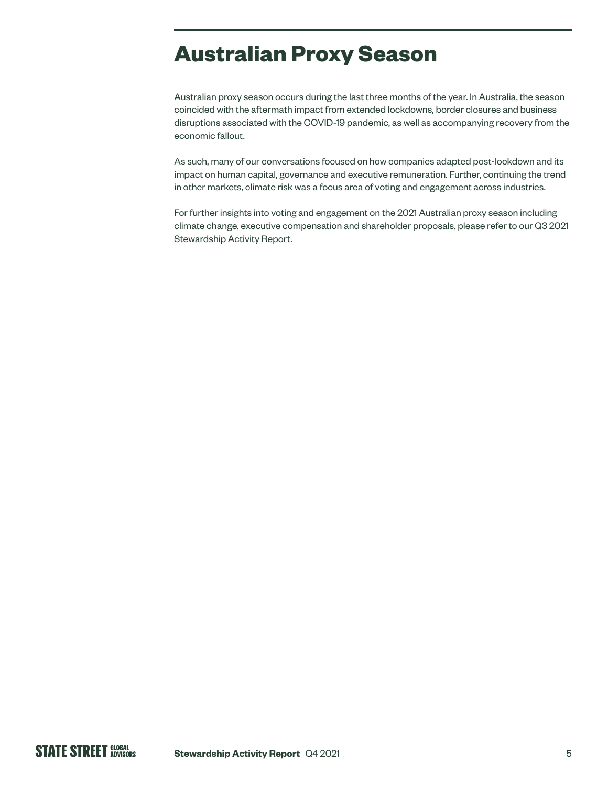## **Australian Proxy Season**

Australian proxy season occurs during the last three months of the year. In Australia, the season coincided with the aftermath impact from extended lockdowns, border closures and business disruptions associated with the COVID-19 pandemic, as well as accompanying recovery from the economic fallout.

As such, many of our conversations focused on how companies adapted post-lockdown and its impact on human capital, governance and executive remuneration. Further, continuing the trend in other markets, climate risk was a focus area of voting and engagement across industries.

For further insights into voting and engagement on the 2021 Australian proxy season including climate change, executive compensation and shareholder proposals, please refer to our Q3 2021 [Stewardship Activity Report.](https://www.ssga.com/library-content/products/esg/inst-firm-level-asset-stewardship-report-q3-2021.pdf)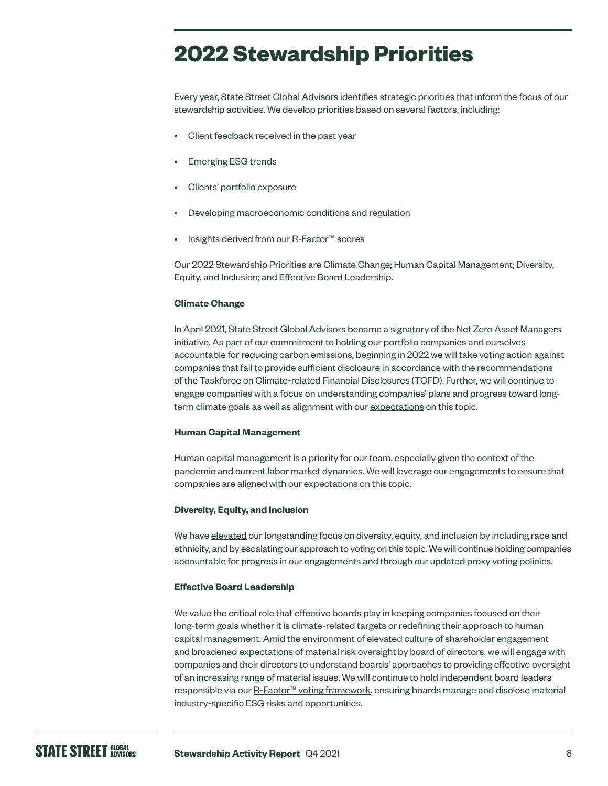## **2022 Stewardship Priorities**

Every year, State Street Global Advisors identifies strategic priorities that inform the focus of our stewardship activities. We develop priorities based on several factors, including:

- Client feedback received in the past year
- Emerging ESG trends
- Clients' portfolio exposure
- Developing macroeconomic conditions and regulation
- Insights derived from our R-Factor<sup>™</sup> scores

Our 2022 Stewardship Priorities are Climate Change; Human Capital Management; Diversity, Equity, and Inclusion; and Effective Board Leadership.

### **Climate Change**

In April 2021, State Street Global Advisors became a signatory of the Net Zero Asset Managers initiative. As part of our commitment to holding our portfolio companies and ourselves accountable for reducing carbon emissions, beginning in 2022 we will take voting action against companies that fail to provide sufficient disclosure in accordance with the recommendations of the Taskforce on Climate-related Financial Disclosures (TCFD). Further, we will continue to engage companies with a focus on understanding companies' plans and progress toward longterm climate goals as well as alignment with our [expectations](https://www.ssga.com/library-content/pdfs/asset-stewardship/guidance-on-climate-related-disclosures.pdf) on this topic.

### **Human Capital Management**

Human capital management is a priority for our team, especially given the context of the pandemic and current labor market dynamics. We will leverage our engagements to ensure that companies are aligned with our [expectations](https://www.ssga.com/library-content/pdfs/global/human-capital-disclosure-practices.pdf) on this topic.

#### **Diversity, Equity, and Inclusion**

We have [elevated](https://www.ssga.com/library-content/pdfs/asset-stewardship/guidance-on-diversity-disclosures-practices.pdf) our longstanding focus on diversity, equity, and inclusion by including race and ethnicity, and by escalating our approach to voting on this topic. We will continue holding companies accountable for progress in our engagements and through our updated proxy voting policies.

#### **Effective Board Leadership**

We value the critical role that effective boards play in keeping companies focused on their long-term goals whether it is climate-related targets or redefining their approach to human capital management. Amid the environment of elevated culture of shareholder engagement and [broadened expectations](https://www.ssga.com/us/en/institutional/ic/insights/managing-through-a-historic-transition) of material risk oversight by board of directors, we will engage with companies and their directors to understand boards' approaches to providing effective oversight of an increasing range of material issues. We will continue to hold independent board leaders responsible via our [R-Factor™ voting framework](https://www.ssga.com/us/en/institutional/ic/insights/asr-integrating-r-factor-into-voting), ensuring boards manage and disclose material industry-specific ESG risks and opportunities.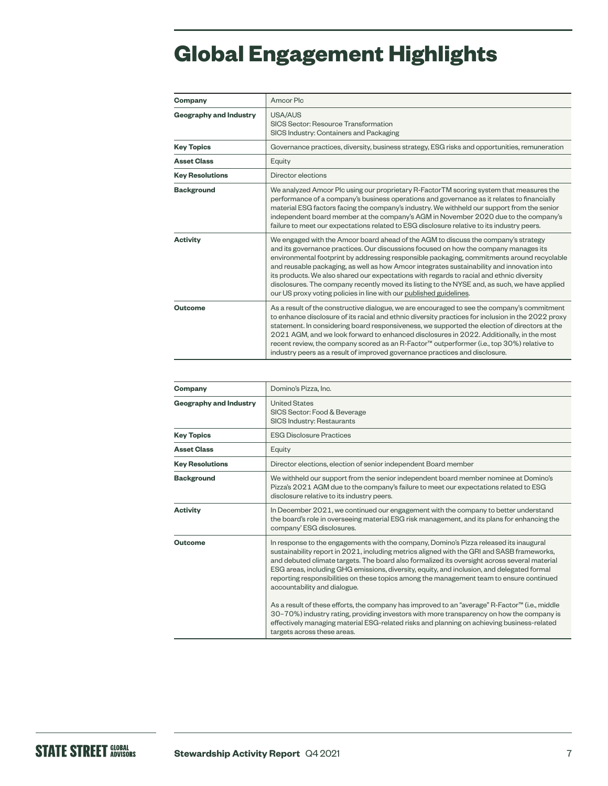# **Global Engagement Highlights**

| Company                       | Amcor Plc                                                                                                                                                                                                                                                                                                                                                                                                                                                                                                                                                                                                                                   |
|-------------------------------|---------------------------------------------------------------------------------------------------------------------------------------------------------------------------------------------------------------------------------------------------------------------------------------------------------------------------------------------------------------------------------------------------------------------------------------------------------------------------------------------------------------------------------------------------------------------------------------------------------------------------------------------|
| <b>Geography and Industry</b> | USA/AUS<br>SICS Sector: Resource Transformation<br>SICS Industry: Containers and Packaging                                                                                                                                                                                                                                                                                                                                                                                                                                                                                                                                                  |
| <b>Key Topics</b>             | Governance practices, diversity, business strategy, ESG risks and opportunities, remuneration                                                                                                                                                                                                                                                                                                                                                                                                                                                                                                                                               |
| <b>Asset Class</b>            | Equity                                                                                                                                                                                                                                                                                                                                                                                                                                                                                                                                                                                                                                      |
| <b>Key Resolutions</b>        | Director elections                                                                                                                                                                                                                                                                                                                                                                                                                                                                                                                                                                                                                          |
| <b>Background</b>             | We analyzed Amcor Plc using our proprietary R-Factor TM scoring system that measures the<br>performance of a company's business operations and governance as it relates to financially<br>material ESG factors facing the company's industry. We withheld our support from the senior<br>independent board member at the company's AGM in November 2020 due to the company's<br>failure to meet our expectations related to ESG disclosure relative to its industry peers.                                                                                                                                                                  |
| <b>Activity</b>               | We engaged with the Amcor board ahead of the AGM to discuss the company's strategy<br>and its governance practices. Our discussions focused on how the company manages its<br>environmental footprint by addressing responsible packaging, commitments around recyclable<br>and reusable packaging, as well as how Amcor integrates sustainability and innovation into<br>its products. We also shared our expectations with regards to racial and ethnic diversity<br>disclosures. The company recently moved its listing to the NYSE and, as such, we have applied<br>our US proxy voting policies in line with our published guidelines. |
| Outcome                       | As a result of the constructive dialogue, we are encouraged to see the company's commitment<br>to enhance disclosure of its racial and ethnic diversity practices for inclusion in the 2022 proxy<br>statement. In considering board responsiveness, we supported the election of directors at the<br>2021 AGM, and we look forward to enhanced disclosures in 2022. Additionally, in the most<br>recent review, the company scored as an R-Factor™ outperformer (i.e., top 30%) relative to<br>industry peers as a result of improved governance practices and disclosure.                                                                 |

| Company                       | Domino's Pizza, Inc.                                                                                                                                                                                                                                                                                                                                                                                                                                                                                           |
|-------------------------------|----------------------------------------------------------------------------------------------------------------------------------------------------------------------------------------------------------------------------------------------------------------------------------------------------------------------------------------------------------------------------------------------------------------------------------------------------------------------------------------------------------------|
| <b>Geography and Industry</b> | <b>United States</b><br>SICS Sector: Food & Beverage<br>SICS Industry: Restaurants                                                                                                                                                                                                                                                                                                                                                                                                                             |
| <b>Key Topics</b>             | <b>ESG Disclosure Practices</b>                                                                                                                                                                                                                                                                                                                                                                                                                                                                                |
| <b>Asset Class</b>            | Equity                                                                                                                                                                                                                                                                                                                                                                                                                                                                                                         |
| <b>Key Resolutions</b>        | Director elections, election of senior independent Board member                                                                                                                                                                                                                                                                                                                                                                                                                                                |
| <b>Background</b>             | We withheld our support from the senior independent board member nominee at Domino's<br>Pizza's 2021 AGM due to the company's failure to meet our expectations related to ESG<br>disclosure relative to its industry peers.                                                                                                                                                                                                                                                                                    |
| Activity                      | In December 2021, we continued our engagement with the company to better understand<br>the board's role in overseeing material ESG risk management, and its plans for enhancing the<br>company' ESG disclosures.                                                                                                                                                                                                                                                                                               |
| Outcome                       | In response to the engagements with the company, Domino's Pizza released its inaugural<br>sustainability report in 2021, including metrics aligned with the GRI and SASB frameworks,<br>and debuted climate targets. The board also formalized its oversight across several material<br>ESG areas, including GHG emissions, diversity, equity, and inclusion, and delegated formal<br>reporting responsibilities on these topics among the management team to ensure continued<br>accountability and dialogue. |
|                               | As a result of these efforts, the company has improved to an "average" R-Factor™ (i.e., middle<br>30-70%) industry rating, providing investors with more transparency on how the company is<br>effectively managing material ESG-related risks and planning on achieving business-related<br>targets across these areas.                                                                                                                                                                                       |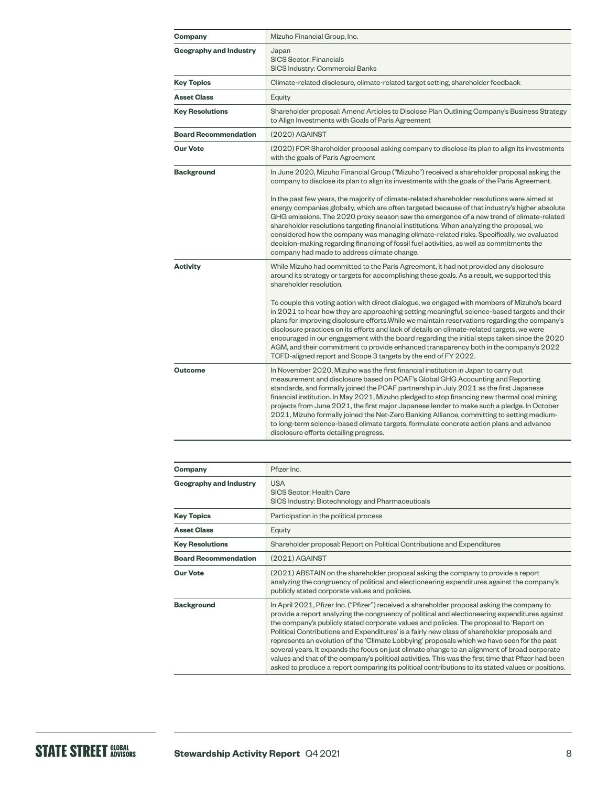| Company                       | Mizuho Financial Group, Inc.                                                                                                                                                                                                                                                                                                                                                                                                                                                                                                                                                                                                                                                                                                                                                                                                                                                 |
|-------------------------------|------------------------------------------------------------------------------------------------------------------------------------------------------------------------------------------------------------------------------------------------------------------------------------------------------------------------------------------------------------------------------------------------------------------------------------------------------------------------------------------------------------------------------------------------------------------------------------------------------------------------------------------------------------------------------------------------------------------------------------------------------------------------------------------------------------------------------------------------------------------------------|
| <b>Geography and Industry</b> | Japan<br><b>SICS Sector: Financials</b><br>SICS Industry: Commercial Banks                                                                                                                                                                                                                                                                                                                                                                                                                                                                                                                                                                                                                                                                                                                                                                                                   |
| <b>Key Topics</b>             | Climate-related disclosure, climate-related target setting, shareholder feedback                                                                                                                                                                                                                                                                                                                                                                                                                                                                                                                                                                                                                                                                                                                                                                                             |
| <b>Asset Class</b>            | Equity                                                                                                                                                                                                                                                                                                                                                                                                                                                                                                                                                                                                                                                                                                                                                                                                                                                                       |
| <b>Key Resolutions</b>        | Shareholder proposal: Amend Articles to Disclose Plan Outlining Company's Business Strategy<br>to Align Investments with Goals of Paris Agreement                                                                                                                                                                                                                                                                                                                                                                                                                                                                                                                                                                                                                                                                                                                            |
| <b>Board Recommendation</b>   | (2020) AGAINST                                                                                                                                                                                                                                                                                                                                                                                                                                                                                                                                                                                                                                                                                                                                                                                                                                                               |
| <b>Our Vote</b>               | (2020) FOR Shareholder proposal asking company to disclose its plan to align its investments<br>with the goals of Paris Agreement                                                                                                                                                                                                                                                                                                                                                                                                                                                                                                                                                                                                                                                                                                                                            |
| <b>Background</b>             | In June 2020, Mizuho Financial Group ("Mizuho") received a shareholder proposal asking the<br>company to disclose its plan to align its investments with the goals of the Paris Agreement.<br>In the past few years, the majority of climate-related shareholder resolutions were aimed at<br>energy companies globally, which are often targeted because of that industry's higher absolute<br>GHG emissions. The 2020 proxy season saw the emergence of a new trend of climate-related<br>shareholder resolutions targeting financial institutions. When analyzing the proposal, we<br>considered how the company was managing climate-related risks. Specifically, we evaluated<br>decision-making regarding financing of fossil fuel activities, as well as commitments the<br>company had made to address climate change.                                               |
| <b>Activity</b>               | While Mizuho had committed to the Paris Agreement, it had not provided any disclosure<br>around its strategy or targets for accomplishing these goals. As a result, we supported this<br>shareholder resolution.<br>To couple this voting action with direct dialogue, we engaged with members of Mizuho's board<br>in 2021 to hear how they are approaching setting meaningful, science-based targets and their<br>plans for improving disclosure efforts. While we maintain reservations regarding the company's<br>disclosure practices on its efforts and lack of details on climate-related targets, we were<br>encouraged in our engagement with the board regarding the initial steps taken since the 2020<br>AGM, and their commitment to provide enhanced transparency both in the company's 2022<br>TCFD-aligned report and Scope 3 targets by the end of FY 2022. |
| <b>Outcome</b>                | In November 2020, Mizuho was the first financial institution in Japan to carry out<br>measurement and disclosure based on PCAF's Global GHG Accounting and Reporting<br>standards, and formally joined the PCAF partnership in July 2021 as the first Japanese<br>financial institution. In May 2021, Mizuho pledged to stop financing new thermal coal mining<br>projects from June 2021, the first major Japanese lender to make such a pledge. In October<br>2021, Mizuho formally joined the Net-Zero Banking Alliance, committing to setting medium-<br>to long-term science-based climate targets, formulate concrete action plans and advance<br>disclosure efforts detailing progress.                                                                                                                                                                               |

| Company                       | Pfizer Inc.                                                                                                                                                                                                                                                                                                                                                                                                                                                                                                                                                                                                                                                                                                                                                                                           |
|-------------------------------|-------------------------------------------------------------------------------------------------------------------------------------------------------------------------------------------------------------------------------------------------------------------------------------------------------------------------------------------------------------------------------------------------------------------------------------------------------------------------------------------------------------------------------------------------------------------------------------------------------------------------------------------------------------------------------------------------------------------------------------------------------------------------------------------------------|
| <b>Geography and Industry</b> | <b>USA</b><br>SICS Sector: Health Care<br>SICS Industry: Biotechnology and Pharmaceuticals                                                                                                                                                                                                                                                                                                                                                                                                                                                                                                                                                                                                                                                                                                            |
| <b>Key Topics</b>             | Participation in the political process                                                                                                                                                                                                                                                                                                                                                                                                                                                                                                                                                                                                                                                                                                                                                                |
| <b>Asset Class</b>            | Equity                                                                                                                                                                                                                                                                                                                                                                                                                                                                                                                                                                                                                                                                                                                                                                                                |
| <b>Key Resolutions</b>        | Shareholder proposal: Report on Political Contributions and Expenditures                                                                                                                                                                                                                                                                                                                                                                                                                                                                                                                                                                                                                                                                                                                              |
| <b>Board Recommendation</b>   | (2021) AGAINST                                                                                                                                                                                                                                                                                                                                                                                                                                                                                                                                                                                                                                                                                                                                                                                        |
| <b>Our Vote</b>               | (2021) ABSTAIN on the shareholder proposal asking the company to provide a report<br>analyzing the congruency of political and electioneering expenditures against the company's<br>publicly stated corporate values and policies.                                                                                                                                                                                                                                                                                                                                                                                                                                                                                                                                                                    |
| <b>Background</b>             | In April 2021, Pfizer Inc. ("Pfizer") received a shareholder proposal asking the company to<br>provide a report analyzing the congruency of political and electioneering expenditures against<br>the company's publicly stated corporate values and policies. The proposal to 'Report on<br>Political Contributions and Expenditures' is a fairly new class of shareholder proposals and<br>represents an evolution of the 'Climate Lobbying' proposals which we have seen for the past<br>several years. It expands the focus on just climate change to an alignment of broad corporate<br>values and that of the company's political activities. This was the first time that Pfizer had been<br>asked to produce a report comparing its political contributions to its stated values or positions. |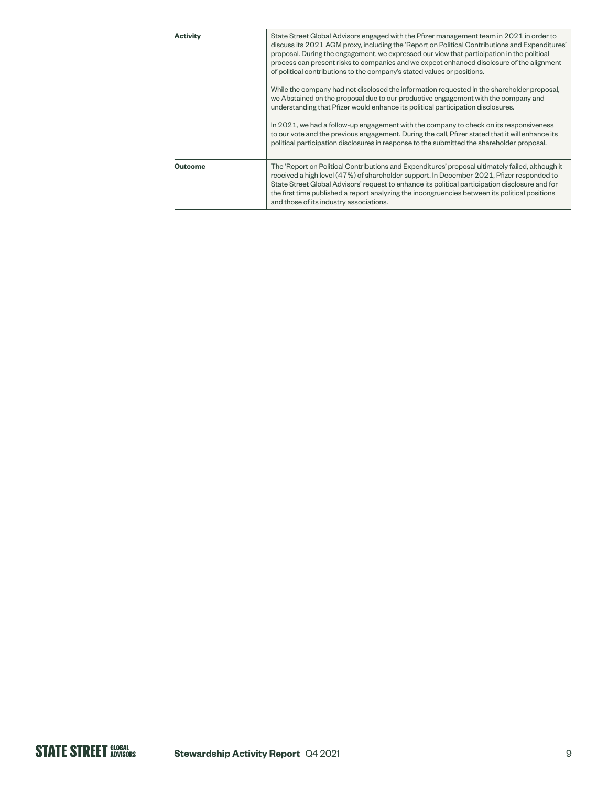| <b>Activity</b> | State Street Global Advisors engaged with the Pfizer management team in 2021 in order to<br>discuss its 2021 AGM proxy, including the 'Report on Political Contributions and Expenditures'<br>proposal. During the engagement, we expressed our view that participation in the political<br>process can present risks to companies and we expect enhanced disclosure of the alignment<br>of political contributions to the company's stated values or positions. |
|-----------------|------------------------------------------------------------------------------------------------------------------------------------------------------------------------------------------------------------------------------------------------------------------------------------------------------------------------------------------------------------------------------------------------------------------------------------------------------------------|
|                 | While the company had not disclosed the information requested in the shareholder proposal,<br>we Abstained on the proposal due to our productive engagement with the company and<br>understanding that Pfizer would enhance its political participation disclosures.                                                                                                                                                                                             |
|                 | In 2021, we had a follow-up engagement with the company to check on its responsiveness<br>to our vote and the previous engagement. During the call, Pfizer stated that it will enhance its<br>political participation disclosures in response to the submitted the shareholder proposal.                                                                                                                                                                         |
| <b>Outcome</b>  | The 'Report on Political Contributions and Expenditures' proposal ultimately failed, although it<br>received a high level (47%) of shareholder support. In December 2021, Pfizer responded to<br>State Street Global Advisors' request to enhance its political participation disclosure and for<br>the first time published a report analyzing the incongruencies between its political positions<br>and those of its industry associations.                    |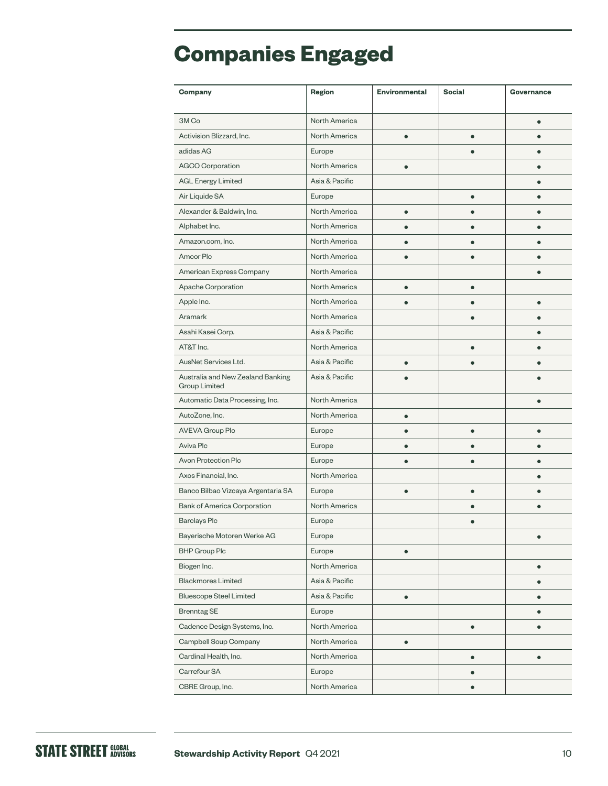## **Companies Engaged**

| Company                                                   | Region         | <b>Environmental</b> | <b>Social</b> | Governance |
|-----------------------------------------------------------|----------------|----------------------|---------------|------------|
| 3M Co                                                     | North America  |                      |               | $\bullet$  |
| Activision Blizzard, Inc.                                 | North America  | ٠                    |               |            |
| adidas AG                                                 | Europe         |                      |               |            |
| AGCO Corporation                                          | North America  |                      |               |            |
| <b>AGL Energy Limited</b>                                 | Asia & Pacific |                      |               |            |
| Air Liquide SA                                            | Europe         |                      |               |            |
| Alexander & Baldwin, Inc.                                 | North America  | ō                    |               |            |
| Alphabet Inc.                                             | North America  |                      |               |            |
| Amazon.com, Inc.                                          | North America  |                      |               |            |
| Amcor Plc                                                 | North America  |                      |               |            |
| American Express Company                                  | North America  |                      |               |            |
| Apache Corporation                                        | North America  | $\bullet$            | $\bullet$     |            |
| Apple Inc.                                                | North America  |                      |               |            |
| Aramark                                                   | North America  |                      |               |            |
| Asahi Kasei Corp.                                         | Asia & Pacific |                      |               |            |
| AT&T Inc.                                                 | North America  |                      | $\bullet$     |            |
| AusNet Services Ltd.                                      | Asia & Pacific |                      |               |            |
| Australia and New Zealand Banking<br><b>Group Limited</b> | Asia & Pacific |                      |               |            |
| Automatic Data Processing, Inc.                           | North America  |                      |               |            |
| AutoZone, Inc.                                            | North America  | ٠                    |               |            |
| <b>AVEVA Group Plc</b>                                    | Europe         | ●                    | $\bullet$     | $\bullet$  |
| Aviva Plc                                                 | Europe         |                      |               |            |
| Avon Protection Plc                                       | Europe         | ٠                    |               |            |
| Axos Financial, Inc.                                      | North America  |                      |               |            |
| Banco Bilbao Vizcaya Argentaria SA                        | Europe         | ō                    |               |            |
| Bank of America Corporation                               | North America  |                      |               |            |
| <b>Barclays Plc</b>                                       | Europe         |                      |               |            |
| Bayerische Motoren Werke AG                               | Europe         |                      |               | $\bullet$  |
| <b>BHP Group Plc</b>                                      | Europe         | $\bullet$            |               |            |
| Biogen Inc.                                               | North America  |                      |               | $\bullet$  |
| <b>Blackmores Limited</b>                                 | Asia & Pacific |                      |               | $\bullet$  |
| <b>Bluescope Steel Limited</b>                            | Asia & Pacific | $\bullet$            |               | $\bullet$  |
| <b>Brenntag SE</b>                                        | Europe         |                      |               | $\bullet$  |
| Cadence Design Systems, Inc.                              | North America  |                      | $\bullet$     | $\bullet$  |
| Campbell Soup Company                                     | North America  | $\bullet$            |               |            |
| Cardinal Health, Inc.                                     | North America  |                      | $\bullet$     | $\bullet$  |
| Carrefour SA                                              | Europe         |                      | $\bullet$     |            |
| CBRE Group, Inc.                                          | North America  |                      | $\bullet$     |            |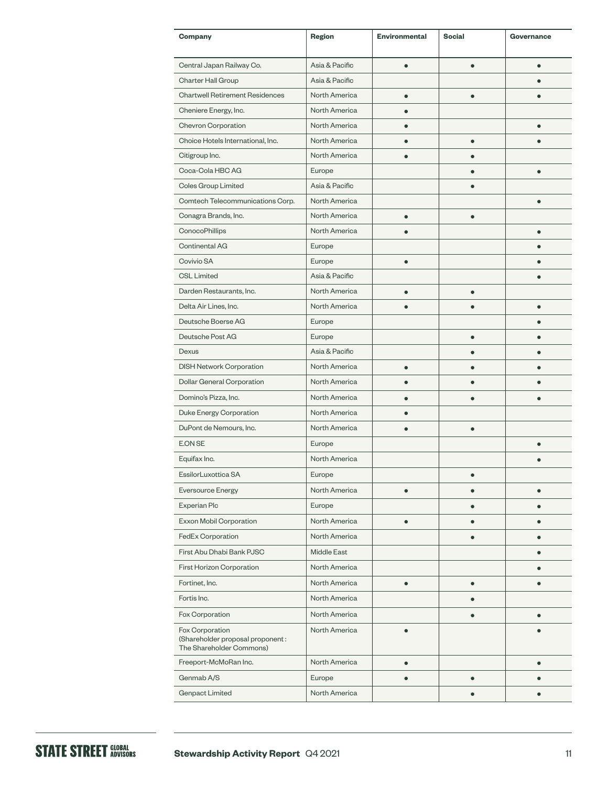| Company                                                                         | Region             | <b>Environmental</b> | <b>Social</b> | Governance |
|---------------------------------------------------------------------------------|--------------------|----------------------|---------------|------------|
| Central Japan Railway Co.                                                       | Asia & Pacific     | ō                    |               |            |
| Charter Hall Group                                                              | Asia & Pacific     |                      |               |            |
| <b>Chartwell Retirement Residences</b>                                          | North America      |                      |               |            |
| Cheniere Energy, Inc.                                                           | North America      |                      |               |            |
| Chevron Corporation                                                             | North America      |                      |               |            |
| Choice Hotels International, Inc.                                               | North America      |                      | $\bullet$     |            |
| Citigroup Inc.                                                                  | North America      |                      |               |            |
| Coca-Cola HBC AG                                                                | Europe             |                      |               |            |
| Coles Group Limited                                                             | Asia & Pacific     |                      |               |            |
| Comtech Telecommunications Corp.                                                | North America      |                      |               |            |
| Conagra Brands, Inc.                                                            | North America      | $\bullet$            |               |            |
| ConocoPhillips                                                                  | North America      |                      |               |            |
| <b>Continental AG</b>                                                           | Europe             |                      |               |            |
| Covivio SA                                                                      | Europe             | ٠                    |               |            |
| <b>CSL Limited</b>                                                              | Asia & Pacific     |                      |               |            |
| Darden Restaurants, Inc.                                                        | North America      |                      |               |            |
| Delta Air Lines, Inc.                                                           | North America      |                      |               | $\bullet$  |
| Deutsche Boerse AG                                                              | Europe             |                      |               |            |
| Deutsche Post AG                                                                | Europe             |                      |               |            |
| Dexus                                                                           | Asia & Pacific     |                      |               |            |
| <b>DISH Network Corporation</b>                                                 | North America      | $\bullet$            |               |            |
| Dollar General Corporation                                                      | North America      |                      |               |            |
| Domino's Pizza, Inc.                                                            | North America      |                      |               |            |
| Duke Energy Corporation                                                         | North America      | ●                    |               |            |
| DuPont de Nemours, Inc.                                                         | North America      |                      |               |            |
| E.ON SE                                                                         | Europe             |                      |               |            |
| Equifax Inc.                                                                    | North America      |                      |               |            |
| EssilorLuxottica SA                                                             | Europe             |                      |               |            |
| <b>Eversource Energy</b>                                                        | North America      | $\bullet$            | $\bullet$     | $\bullet$  |
| Experian Plc                                                                    | Europe             |                      |               |            |
| Exxon Mobil Corporation                                                         | North America      | $\bullet$            |               |            |
| FedEx Corporation                                                               | North America      |                      |               |            |
| First Abu Dhabi Bank PJSC                                                       | <b>Middle East</b> |                      |               |            |
| First Horizon Corporation                                                       | North America      |                      |               |            |
| Fortinet, Inc.                                                                  | North America      | ō                    |               |            |
| Fortis Inc.                                                                     | North America      |                      |               |            |
| Fox Corporation                                                                 | North America      |                      |               |            |
| Fox Corporation<br>(Shareholder proposal proponent:<br>The Shareholder Commons) | North America      |                      |               |            |
| Freeport-McMoRan Inc.                                                           | North America      | $\bullet$            |               |            |
| Genmab A/S                                                                      | Europe             |                      |               |            |
| <b>Genpact Limited</b>                                                          | North America      |                      | $\bullet$     | $\bullet$  |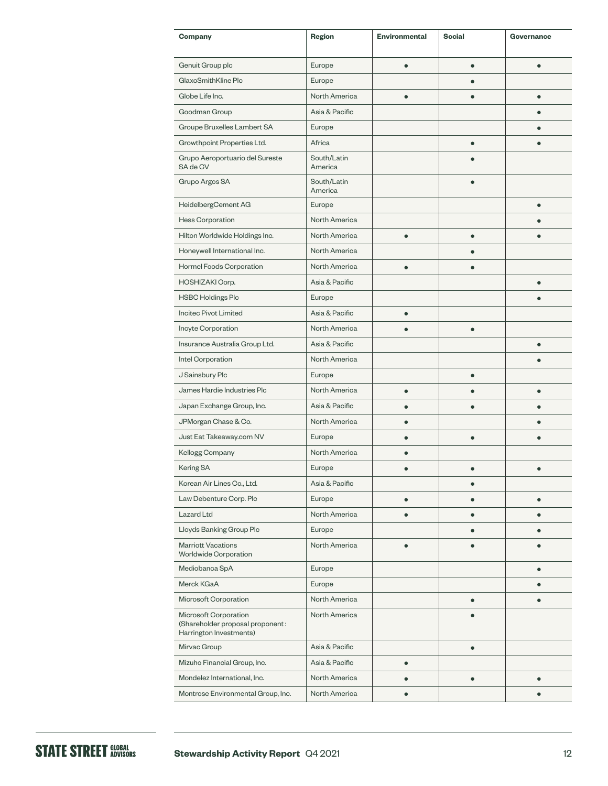| Company                                                                              | Region                 | <b>Environmental</b> | <b>Social</b> | Governance |
|--------------------------------------------------------------------------------------|------------------------|----------------------|---------------|------------|
| Genuit Group plc                                                                     | Europe                 |                      | $\bullet$     | $\bullet$  |
| GlaxoSmithKline Plc                                                                  | Europe                 |                      |               |            |
| Globe Life Inc.                                                                      | North America          |                      |               |            |
| Goodman Group                                                                        | Asia & Pacific         |                      |               |            |
| Groupe Bruxelles Lambert SA                                                          | Europe                 |                      |               |            |
| Growthpoint Properties Ltd.                                                          | Africa                 |                      |               |            |
| Grupo Aeroportuario del Sureste<br>SA de CV                                          | South/Latin<br>America |                      |               |            |
| Grupo Argos SA                                                                       | South/Latin<br>America |                      |               |            |
| HeidelbergCement AG                                                                  | Europe                 |                      |               |            |
| Hess Corporation                                                                     | North America          |                      |               |            |
| Hilton Worldwide Holdings Inc.                                                       | North America          | $\bullet$            | $\bullet$     |            |
| Honeywell International Inc.                                                         | North America          |                      |               |            |
| Hormel Foods Corporation                                                             | North America          |                      |               |            |
| HOSHIZAKI Corp.                                                                      | Asia & Pacific         |                      |               | $\bullet$  |
| <b>HSBC Holdings Plc</b>                                                             | Europe                 |                      |               |            |
| Incitec Pivot Limited                                                                | Asia & Pacific         | $\bullet$            |               |            |
| Incyte Corporation                                                                   | North America          | $\bullet$            | $\bullet$     |            |
| Insurance Australia Group Ltd.                                                       | Asia & Pacific         |                      |               |            |
| Intel Corporation                                                                    | North America          |                      |               |            |
| J Sainsbury Plc                                                                      | Europe                 |                      |               |            |
| James Hardie Industries Plc                                                          | North America          | $\bullet$            |               | $\bullet$  |
| Japan Exchange Group, Inc.                                                           | Asia & Pacific         |                      |               |            |
| JPMorgan Chase & Co.                                                                 | North America          |                      |               |            |
| Just Eat Takeaway.com NV                                                             | Europe                 |                      |               |            |
| Kellogg Company                                                                      | North America          |                      |               |            |
| Kering SA                                                                            | Europe                 |                      |               |            |
| Korean Air Lines Co., Ltd.                                                           | Asia & Pacific         |                      | $\bullet$     |            |
| Law Debenture Corp. Plc                                                              | Europe                 | $\bullet$            | ۸             |            |
| Lazard Ltd                                                                           | North America          |                      |               |            |
| Lloyds Banking Group Plc                                                             | Europe                 |                      |               |            |
| <b>Marriott Vacations</b><br><b>Worldwide Corporation</b>                            | North America          |                      |               |            |
| Mediobanca SpA                                                                       | Europe                 |                      |               |            |
| Merck KGaA                                                                           | Europe                 |                      |               |            |
| Microsoft Corporation                                                                | North America          |                      | $\bullet$     |            |
| Microsoft Corporation<br>(Shareholder proposal proponent:<br>Harrington Investments) | North America          |                      |               |            |
| Mirvac Group                                                                         | Asia & Pacific         |                      | $\bullet$     |            |
| Mizuho Financial Group, Inc.                                                         | Asia & Pacific         | $\bullet$            |               |            |
| Mondelez International, Inc.                                                         | North America          |                      |               |            |
| Montrose Environmental Group, Inc.                                                   | North America          | $\bullet$            |               |            |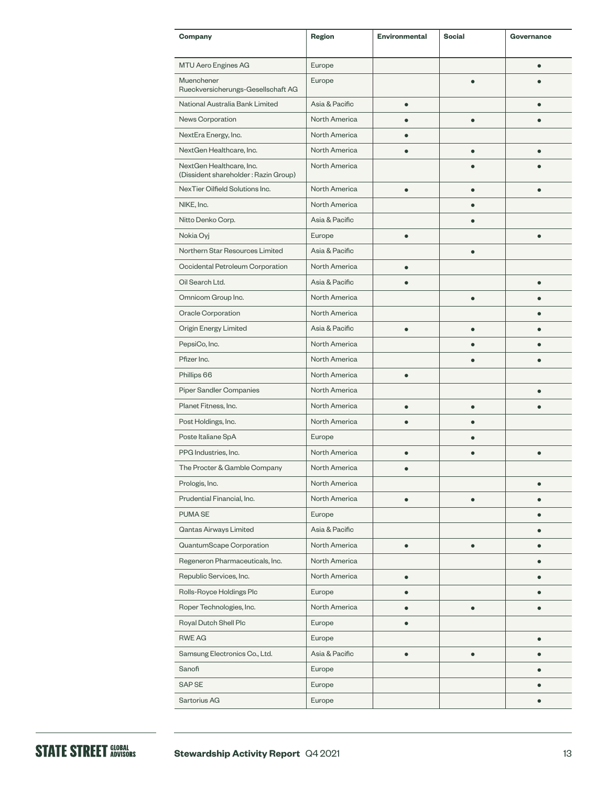| Company                                                          | Region         | <b>Environmental</b> | <b>Social</b> | Governance |
|------------------------------------------------------------------|----------------|----------------------|---------------|------------|
| MTU Aero Engines AG                                              | Europe         |                      |               |            |
| Muenchener<br>Rueckversicherungs-Gesellschaft AG                 | Europe         |                      |               |            |
| National Australia Bank Limited                                  | Asia & Pacific | $\bullet$            |               |            |
| News Corporation                                                 | North America  |                      |               |            |
| NextEra Energy, Inc.                                             | North America  |                      |               |            |
| NextGen Healthcare, Inc.                                         | North America  |                      | ō             | $\bullet$  |
| NextGen Healthcare, Inc.<br>(Dissident shareholder: Razin Group) | North America  |                      |               |            |
| NexTier Oilfield Solutions Inc.                                  | North America  |                      |               |            |
| NIKE, Inc.                                                       | North America  |                      |               |            |
| Nitto Denko Corp.                                                | Asia & Pacific |                      |               |            |
| Nokia Oyj                                                        | Europe         | $\bullet$            |               | $\bullet$  |
| Northern Star Resources Limited                                  | Asia & Pacific |                      |               |            |
| Occidental Petroleum Corporation                                 | North America  |                      |               |            |
| Oil Search Ltd.                                                  | Asia & Pacific | $\bullet$            |               | $\bullet$  |
| Omnicom Group Inc.                                               | North America  |                      |               |            |
| Oracle Corporation                                               | North America  |                      |               |            |
| Origin Energy Limited                                            | Asia & Pacific | $\bullet$            | ō             |            |
| PepsiCo, Inc.                                                    | North America  |                      |               |            |
| Pfizer Inc.                                                      | North America  |                      |               |            |
| Phillips 66                                                      | North America  |                      |               |            |
| <b>Piper Sandler Companies</b>                                   | North America  |                      |               |            |
| Planet Fitness, Inc.                                             | North America  |                      |               |            |
| Post Holdings, Inc.                                              | North America  |                      |               |            |
| Poste Italiane SpA                                               | Europe         |                      | ٠             |            |
| PPG Industries, Inc.                                             | North America  |                      |               |            |
| The Procter & Gamble Company                                     | North America  |                      |               |            |
| Prologis, Inc.                                                   | North America  |                      |               | $\bullet$  |
| Prudential Financial, Inc.                                       | North America  | $\bullet$            |               |            |
| PUMA SE                                                          | Europe         |                      |               | $\bullet$  |
| Qantas Airways Limited                                           | Asia & Pacific |                      |               |            |
| QuantumScape Corporation                                         | North America  | $\bullet$            | $\bullet$     |            |
| Regeneron Pharmaceuticals, Inc.                                  | North America  |                      |               |            |
| Republic Services, Inc.                                          | North America  | $\bullet$            |               |            |
| Rolls-Royce Holdings Plc                                         | Europe         | $\bullet$            |               |            |
| Roper Technologies, Inc.                                         | North America  | $\bullet$            | ٠             |            |
| Royal Dutch Shell Plc                                            | Europe         | $\bullet$            |               |            |
| <b>RWE AG</b>                                                    | Europe         |                      |               |            |
| Samsung Electronics Co., Ltd.                                    | Asia & Pacific | ٠                    |               |            |
| Sanofi                                                           | Europe         |                      |               | $\bullet$  |
| <b>SAPSE</b>                                                     | Europe         |                      |               |            |
| Sartorius AG                                                     | Europe         |                      |               |            |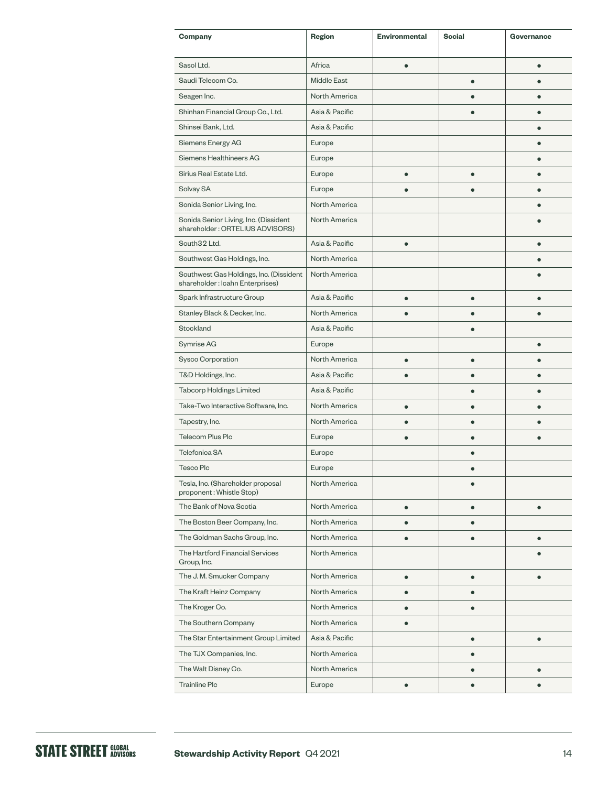| Company                                                                    | Region             | <b>Environmental</b> | <b>Social</b> | Governance |
|----------------------------------------------------------------------------|--------------------|----------------------|---------------|------------|
| Sasol Ltd.                                                                 | Africa             | ė                    |               | $\bullet$  |
| Saudi Telecom Co.                                                          | <b>Middle East</b> |                      | $\bullet$     |            |
| Seagen Inc.                                                                | North America      |                      |               |            |
| Shinhan Financial Group Co., Ltd.                                          | Asia & Pacific     |                      |               |            |
| Shinsei Bank, Ltd.                                                         | Asia & Pacific     |                      |               |            |
| Siemens Energy AG                                                          | Europe             |                      |               |            |
| Siemens Healthineers AG                                                    | Europe             |                      |               |            |
| Sirius Real Estate Ltd.                                                    | Europe             | $\bullet$            | $\bullet$     |            |
| Solvay SA                                                                  | Europe             |                      |               |            |
| Sonida Senior Living, Inc.                                                 | North America      |                      |               |            |
| Sonida Senior Living, Inc. (Dissident<br>shareholder: ORTELIUS ADVISORS)   | North America      |                      |               |            |
| South32 Ltd.                                                               | Asia & Pacific     |                      |               |            |
| Southwest Gas Holdings, Inc.                                               | North America      |                      |               |            |
| Southwest Gas Holdings, Inc. (Dissident<br>shareholder: Icahn Enterprises) | North America      |                      |               |            |
| Spark Infrastructure Group                                                 | Asia & Pacific     | $\bullet$            |               |            |
| Stanley Black & Decker, Inc.                                               | North America      |                      |               |            |
| Stockland                                                                  | Asia & Pacific     |                      | $\bullet$     |            |
| Symrise AG                                                                 | Europe             |                      |               |            |
| Sysco Corporation                                                          | North America      | ė                    |               |            |
| T&D Holdings, Inc.                                                         | Asia & Pacific     |                      |               |            |
| <b>Tabcorp Holdings Limited</b>                                            | Asia & Pacific     |                      |               |            |
| Take-Two Interactive Software, Inc.                                        | North America      | $\bullet$            |               |            |
| Tapestry, Inc.                                                             | North America      |                      |               |            |
| Telecom Plus Plc                                                           | Europe             |                      |               |            |
| Telefonica SA                                                              | Europe             |                      |               |            |
| <b>Tesco Plc</b>                                                           | Europe             |                      |               |            |
| Tesla, Inc. (Shareholder proposal<br>proponent: Whistle Stop)              | North America      |                      |               |            |
| The Bank of Nova Scotia                                                    | North America      | $\bullet$            | $\bullet$     | $\bullet$  |
| The Boston Beer Company, Inc.                                              | North America      | $\bullet$            | $\bullet$     |            |
| The Goldman Sachs Group, Inc.                                              | North America      | $\bullet$            | $\bullet$     | $\bullet$  |
| The Hartford Financial Services<br>Group, Inc.                             | North America      |                      |               |            |
| The J. M. Smucker Company                                                  | North America      | $\bullet$            | $\bullet$     |            |
| The Kraft Heinz Company                                                    | North America      |                      |               |            |
| The Kroger Co.                                                             | North America      | $\bullet$            |               |            |
| The Southern Company                                                       | North America      | $\bullet$            |               |            |
| The Star Entertainment Group Limited                                       | Asia & Pacific     |                      | $\bullet$     | $\bullet$  |
| The TJX Companies, Inc.                                                    | North America      |                      |               |            |
| The Walt Disney Co.                                                        | North America      |                      |               |            |
| <b>Trainline Plc</b>                                                       | Europe             |                      |               |            |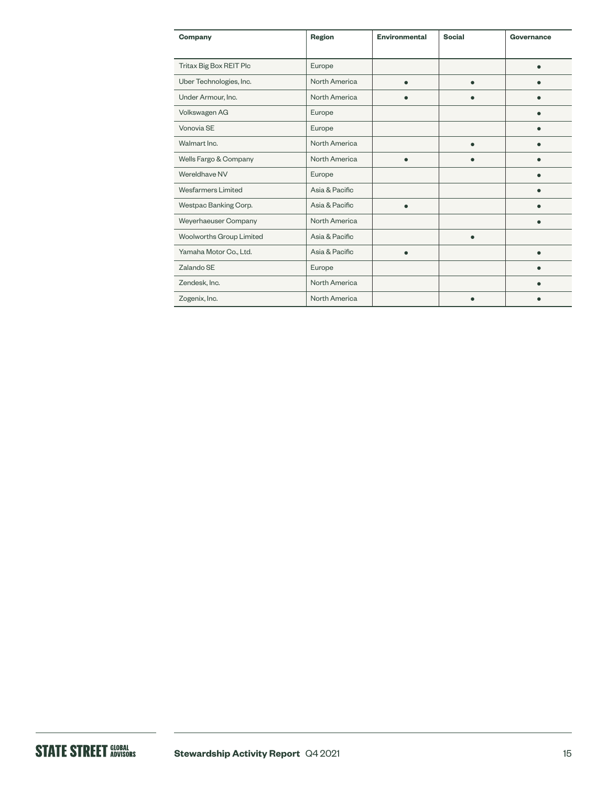| Company                  | Region         | <b>Environmental</b> | <b>Social</b> | Governance |
|--------------------------|----------------|----------------------|---------------|------------|
| Tritax Big Box REIT Plc  | Europe         |                      |               |            |
| Uber Technologies, Inc.  | North America  |                      |               |            |
| Under Armour, Inc.       | North America  |                      |               |            |
| Volkswagen AG            | Europe         |                      |               |            |
| Vonovia SE               | Europe         |                      |               |            |
| Walmart Inc.             | North America  |                      |               |            |
| Wells Fargo & Company    | North America  | $\bullet$            |               |            |
| Wereldhave NV            | Europe         |                      |               |            |
| Wesfarmers Limited       | Asia & Pacific |                      |               |            |
| Westpac Banking Corp.    | Asia & Pacific |                      |               |            |
| Weyerhaeuser Company     | North America  |                      |               |            |
| Woolworths Group Limited | Asia & Pacific |                      |               |            |
| Yamaha Motor Co., Ltd.   | Asia & Pacific |                      |               |            |
| Zalando SE               | Europe         |                      |               |            |
| Zendesk, Inc.            | North America  |                      |               |            |
| Zogenix, Inc.            | North America  |                      |               |            |